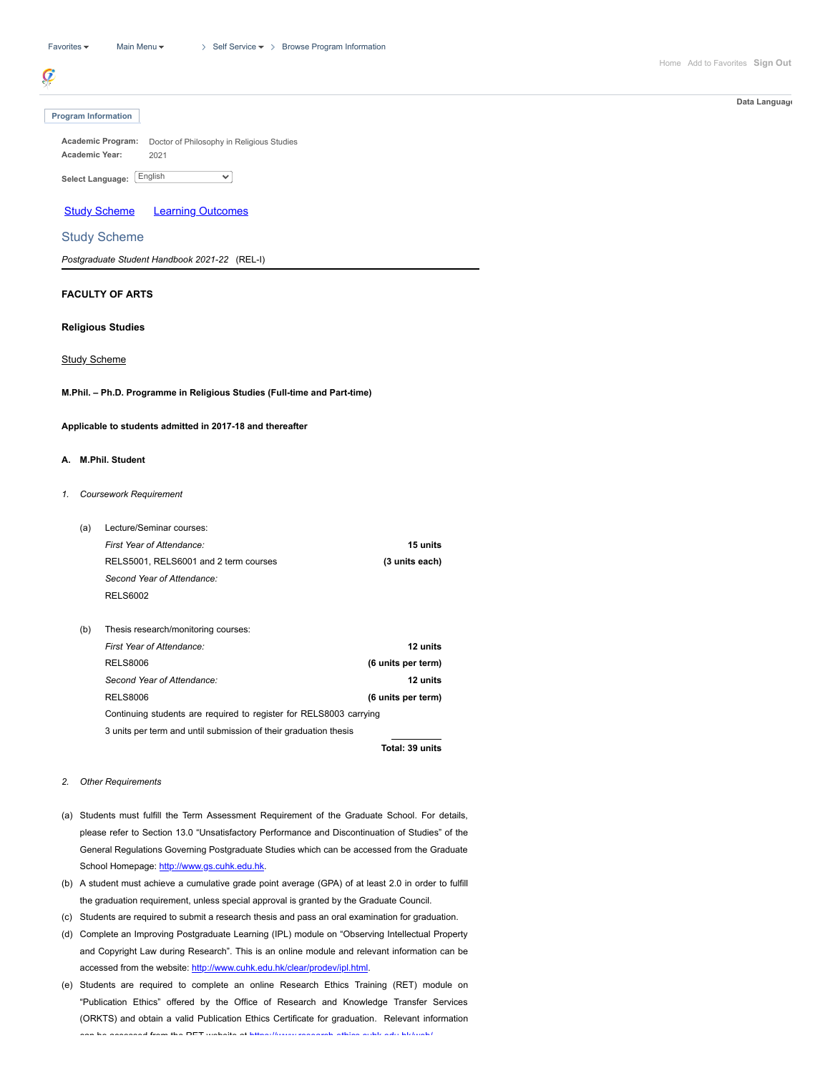# ¢

#### **Program Information**

**Academic Program:** Doctor of Philosophy in Religious Studies **Academic Year:** 2021  $\overline{\mathbf{v}}$ English **Select Language:**

Study Scheme Learning Outcomes

## Study Scheme

*Postgraduate Student Handbook 2021-22* (REL-I)

# **FACULTY OF ARTS**

# **Religious Studies**

# Study Scheme

**M.Phil. – Ph.D. Programme in Religious Studies (Full-time and Part-time)**

**Applicable to students admitted in 2017-18 and thereafter**

# **A. M.Phil. Student**

*1. Coursework Requirement*

| Lecture/Seminar courses:                                           |                    |  |
|--------------------------------------------------------------------|--------------------|--|
| First Year of Attendance:                                          | 15 units           |  |
| RELS5001, RELS6001 and 2 term courses                              | (3 units each)     |  |
| Second Year of Attendance:                                         |                    |  |
| <b>RELS6002</b>                                                    |                    |  |
|                                                                    |                    |  |
| Thesis research/monitoring courses:                                |                    |  |
| First Year of Attendance:                                          | 12 units           |  |
| <b>RELS8006</b>                                                    | (6 units per term) |  |
| Second Year of Attendance:                                         | 12 units           |  |
| <b>RELS8006</b>                                                    | (6 units per term) |  |
| Continuing students are required to register for RELS8003 carrying |                    |  |
| 3 units per term and until submission of their graduation thesis   |                    |  |
|                                                                    |                    |  |

**Total: 39 units**

## *2. Other Requirements*

- (a) Students must fulfill the Term Assessment Requirement of the Graduate School. For details, please refer to Section 13.0 "Unsatisfactory Performance and Discontinuation of Studies" of the General Regulations Governing Postgraduate Studies which can be accessed from the Graduate School Homepage: [http://www.gs.cuhk.edu.hk.](http://www.gs.cuhk.edu.hk/)
- (b) A student must achieve a cumulative grade point average (GPA) of at least 2.0 in order to fulfill the graduation requirement, unless special approval is granted by the Graduate Council.
- (c) Students are required to submit a research thesis and pass an oral examination for graduation.
- (d) Complete an Improving Postgraduate Learning (IPL) module on "Observing Intellectual Property and Copyright Law during Research". This is an online module and relevant information can be accessed from the website: [http://www.cuhk.edu.hk/clear/prodev/ipl.html.](http://www.cuhk.edu.hk/clear/prodev/ipl.html)
- (e) Students are required to complete an online Research Ethics Training (RET) module on "Publication Ethics" offered by the Office of Research and Knowledge Transfer Services (ORKTS) and obtain a valid Publication Ethics Certificate for graduation. Relevant information can be accessed from the RET website at [https://www](https://www.research-ethics.cuhk.edu.hk/web/) research ethics cuhk edu hk/web/

**Data Language**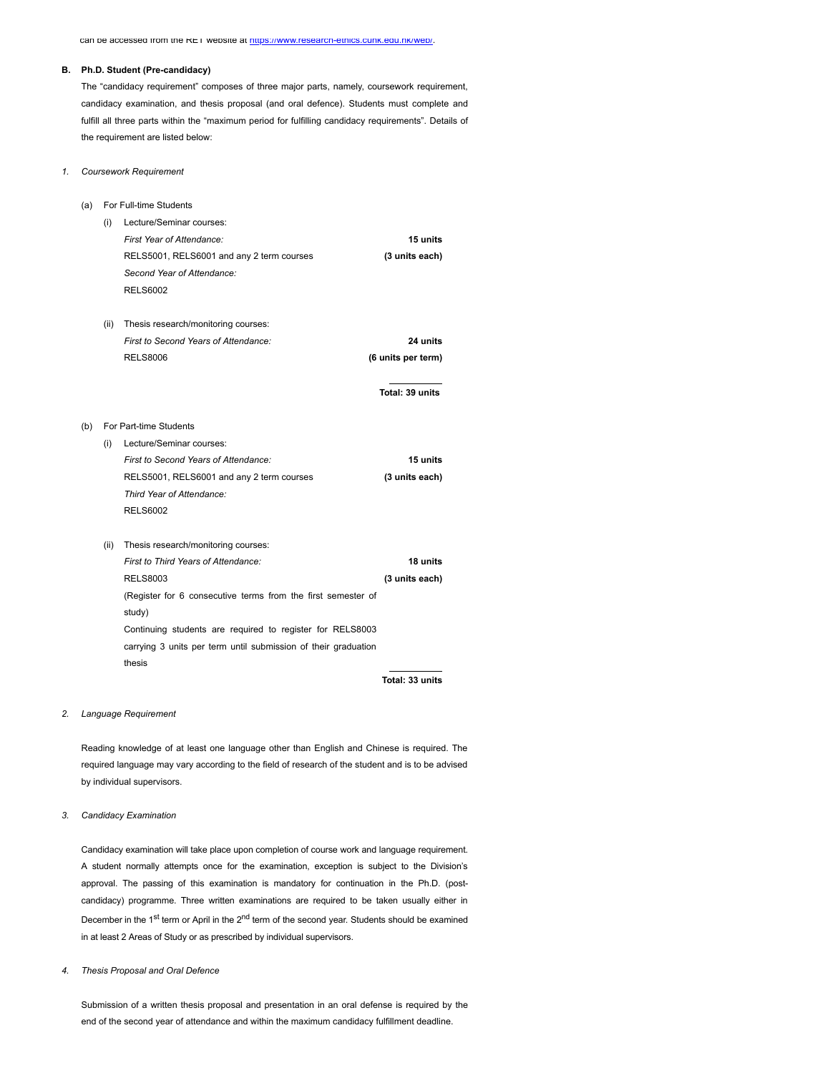can be accessed from the RET website at https://www.research-ethics.cunk.edu.hk/web/.

#### **B. Ph.D. Student (Pre-candidacy)**

The "candidacy requirement" composes of three major parts, namely, coursework requirement, candidacy examination, and thesis proposal (and oral defence). Students must complete and fulfill all three parts within the "maximum period for fulfilling candidacy requirements". Details of the requirement are listed below:

## *1. Coursework Requirement*

- (a) For Full-time Students
	- (i) Lecture/Seminar courses: *First Year of Attendance:* **15 units** RELS5001, RELS6001 and any 2 term courses **(3 units each)** *Second Year of Attendance:* RELS6002
	- (ii) Thesis research/monitoring courses: *First to Second Years of Attendance:* **24 units** RELS8006 **(6 units per term)**

**Total: 39 units**

- (b) For Part-time Students
	- (i) Lecture/Seminar courses: *First to Second Years of Attendance:* **15 units** RELS5001, RELS6001 and any 2 term courses **(3 units each)** *Third Year of Attendance:* RELS6002
	- (ii) Thesis research/monitoring courses: *First to Third Years of Attendance:* **18 units** RELS8003 **(3 units each)** (Register for 6 consecutive terms from the first semester of study) Continuing students are required to register for RELS8003 carrying 3 units per term until submission of their graduation thesis

**Total: 33 units**

## *2. Language Requirement*

Reading knowledge of at least one language other than English and Chinese is required. The required language may vary according to the field of research of the student and is to be advised by individual supervisors.

## *3. Candidacy Examination*

Candidacy examination will take place upon completion of course work and language requirement. A student normally attempts once for the examination, exception is subject to the Division's approval. The passing of this examination is mandatory for continuation in the Ph.D. (postcandidacy) programme. Three written examinations are required to be taken usually either in December in the 1<sup>st</sup> term or April in the 2<sup>nd</sup> term of the second year. Students should be examined in at least 2 Areas of Study or as prescribed by individual supervisors.

#### *4. Thesis Proposal and Oral Defence*

Submission of a written thesis proposal and presentation in an oral defense is required by the end of the second year of attendance and within the maximum candidacy fulfillment deadline.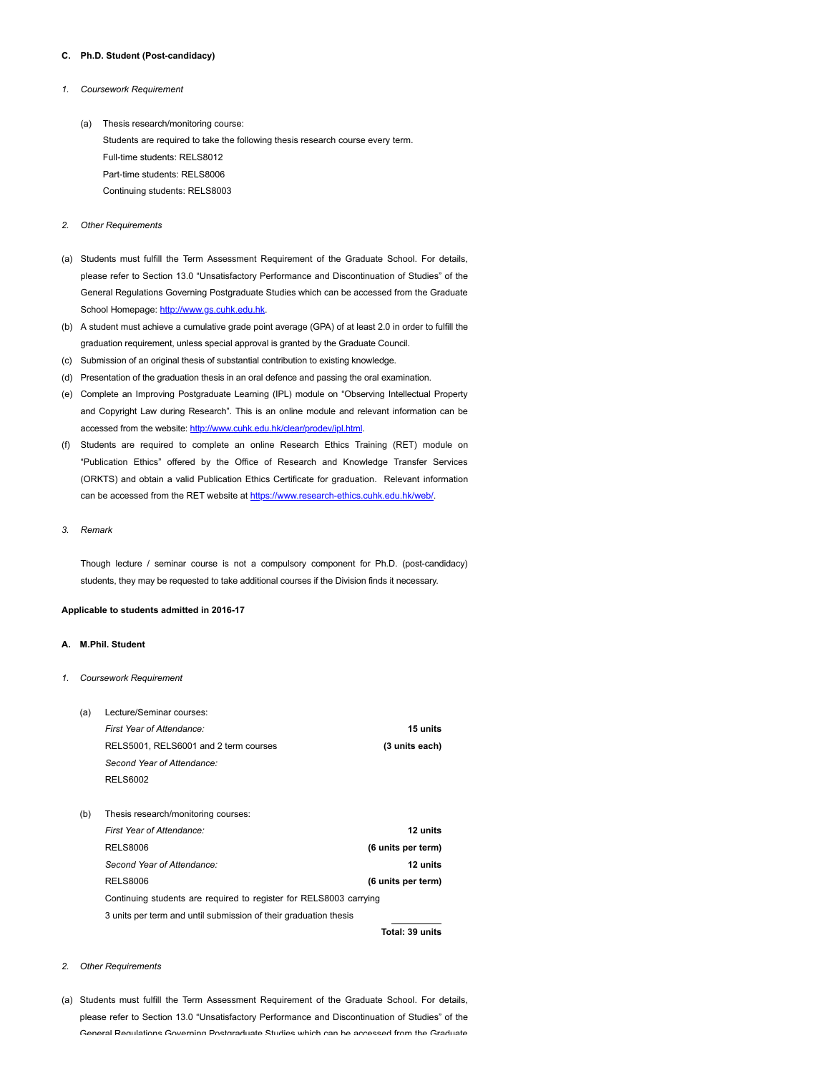## **C. Ph.D. Student (Post-candidacy)**

- *1. Coursework Requirement*
	- (a) Thesis research/monitoring course: Students are required to take the following thesis research course every term. Full-time students: RELS8012 Part-time students: RELS8006 Continuing students: RELS8003
- *2. Other Requirements*
- (a) Students must fulfill the Term Assessment Requirement of the Graduate School. For details, please refer to Section 13.0 "Unsatisfactory Performance and Discontinuation of Studies" of the General Regulations Governing Postgraduate Studies which can be accessed from the Graduate School Homepage: [http://www.gs.cuhk.edu.hk](http://www.gs.cuhk.edu.hk/).
- (b) A student must achieve a cumulative grade point average (GPA) of at least 2.0 in order to fulfill the graduation requirement, unless special approval is granted by the Graduate Council.
- (c) Submission of an original thesis of substantial contribution to existing knowledge.
- (d) Presentation of the graduation thesis in an oral defence and passing the oral examination.
- (e) Complete an Improving Postgraduate Learning (IPL) module on "Observing Intellectual Property and Copyright Law during Research". This is an online module and relevant information can be accessed from the website: <http://www.cuhk.edu.hk/clear/prodev/ipl.html>.
- (f) Students are required to complete an online Research Ethics Training (RET) module on "Publication Ethics" offered by the Office of Research and Knowledge Transfer Services (ORKTS) and obtain a valid Publication Ethics Certificate for graduation. Relevant information can be accessed from the RET website at [https://www.research-ethics.cuhk.edu.hk/web/.](https://www.research-ethics.cuhk.edu.hk/web/)
- *3. Remark*

Though lecture / seminar course is not a compulsory component for Ph.D. (post-candidacy) students, they may be requested to take additional courses if the Division finds it necessary.

#### **Applicable to students admitted in 2016-17**

## **A. M.Phil. Student**

*1. Coursework Requirement*

| (a) | Lecture/Seminar courses:                                           |                    |
|-----|--------------------------------------------------------------------|--------------------|
|     | First Year of Attendance:                                          | 15 units           |
|     | RELS5001, RELS6001 and 2 term courses                              | (3 units each)     |
|     | Second Year of Attendance:                                         |                    |
|     | <b>RELS6002</b>                                                    |                    |
|     |                                                                    |                    |
| (b) | Thesis research/monitoring courses:                                |                    |
|     | First Year of Attendance:                                          | 12 units           |
|     | <b>RELS8006</b>                                                    | (6 units per term) |
|     | Second Year of Attendance:                                         | 12 units           |
|     | <b>RELS8006</b>                                                    | (6 units per term) |
|     | Continuing students are required to register for RELS8003 carrying |                    |
|     | 3 units per term and until submission of their graduation thesis   |                    |
|     |                                                                    |                    |

**Total: 39 units**

#### *2. Other Requirements*

(a) Students must fulfill the Term Assessment Requirement of the Graduate School. For details, please refer to Section 13.0 "Unsatisfactory Performance and Discontinuation of Studies" of the General Regulations Governing Postgraduate Studies which can be accessed from the Graduate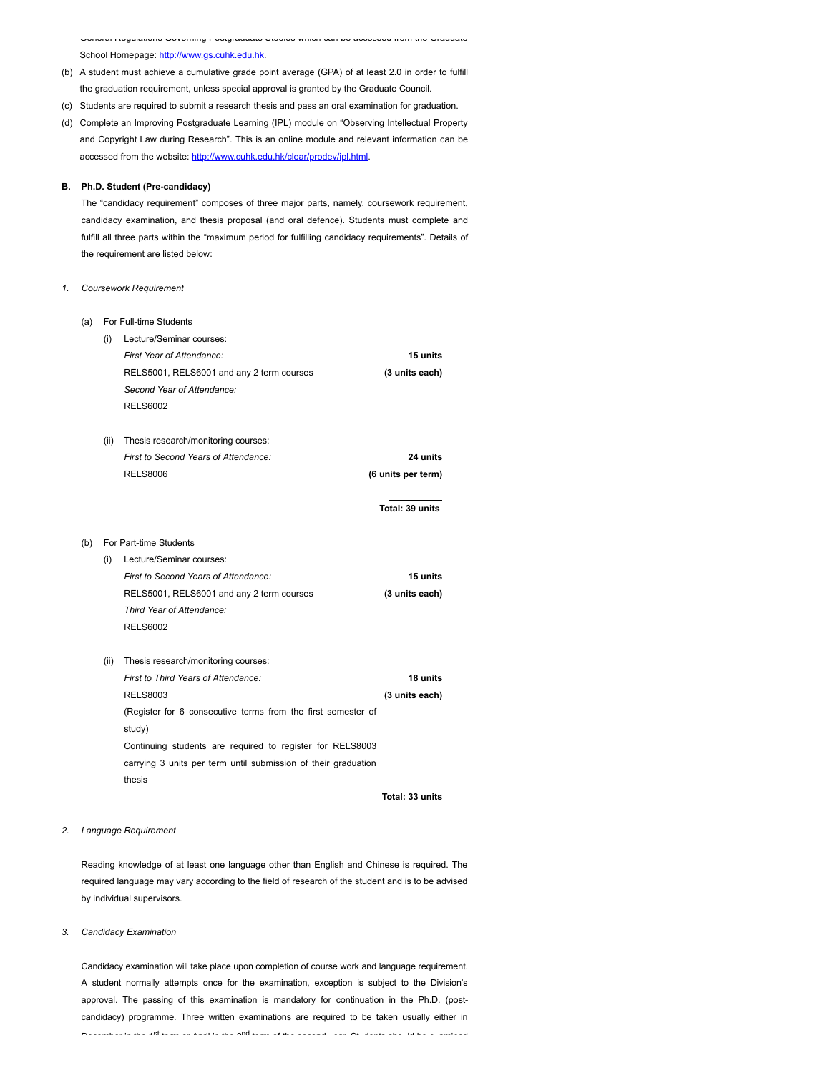General Regulations Governing Postgraduate Studies which can be accessed from the Graduate School Homepage: [http://www.gs.cuhk.edu.hk.](http://www.gs.cuhk.edu.hk/)

- (b) A student must achieve a cumulative grade point average (GPA) of at least 2.0 in order to fulfill the graduation requirement, unless special approval is granted by the Graduate Council.
- (c) Students are required to submit a research thesis and pass an oral examination for graduation.
- (d) Complete an Improving Postgraduate Learning (IPL) module on "Observing Intellectual Property and Copyright Law during Research". This is an online module and relevant information can be accessed from the website: [http://www.cuhk.edu.hk/clear/prodev/ipl.html.](http://www.cuhk.edu.hk/clear/prodev/ipl.html)

## **B. Ph.D. Student (Pre-candidacy)**

The "candidacy requirement" composes of three major parts, namely, coursework requirement, candidacy examination, and thesis proposal (and oral defence). Students must complete and fulfill all three parts within the "maximum period for fulfilling candidacy requirements". Details of the requirement are listed below:

## *1. Coursework Requirement*

| (a) |      | For Full-time Students                                         |                    |
|-----|------|----------------------------------------------------------------|--------------------|
|     | (i)  | Lecture/Seminar courses:                                       |                    |
|     |      | First Year of Attendance:                                      | 15 units           |
|     |      | RELS5001, RELS6001 and any 2 term courses                      | (3 units each)     |
|     |      | Second Year of Attendance:                                     |                    |
|     |      | <b>RELS6002</b>                                                |                    |
|     | (ii) | Thesis research/monitoring courses:                            |                    |
|     |      | First to Second Years of Attendance:                           | 24 units           |
|     |      | <b>RELS8006</b>                                                | (6 units per term) |
|     |      |                                                                | Total: 39 units    |
| (b) |      | For Part-time Students                                         |                    |
|     | (i)  | Lecture/Seminar courses:                                       |                    |
|     |      | First to Second Years of Attendance:                           | 15 units           |
|     |      | RELS5001, RELS6001 and any 2 term courses                      | (3 units each)     |
|     |      | Third Year of Attendance:                                      |                    |
|     |      | <b>RELS6002</b>                                                |                    |
|     | (ii) | Thesis research/monitoring courses:                            |                    |
|     |      | First to Third Years of Attendance:                            | 18 units           |
|     |      | <b>RELS8003</b>                                                | (3 units each)     |
|     |      | (Register for 6 consecutive terms from the first semester of   |                    |
|     |      | study)                                                         |                    |
|     |      | Continuing students are required to register for RELS8003      |                    |
|     |      | carrying 3 units per term until submission of their graduation |                    |
|     |      | thesis                                                         |                    |
|     |      |                                                                | Total: 33 units    |

## *2. Language Requirement*

Reading knowledge of at least one language other than English and Chinese is required. The required language may vary according to the field of research of the student and is to be advised by individual supervisors.

## *3. Candidacy Examination*

Candidacy examination will take place upon completion of course work and language requirement. A student normally attempts once for the examination, exception is subject to the Division's approval. The passing of this examination is mandatory for continuation in the Ph.D. (postcandidacy) programme. Three written examinations are required to be taken usually either in December in the 18 deciments was in the 200 deciment at the second correspondent and states show that a second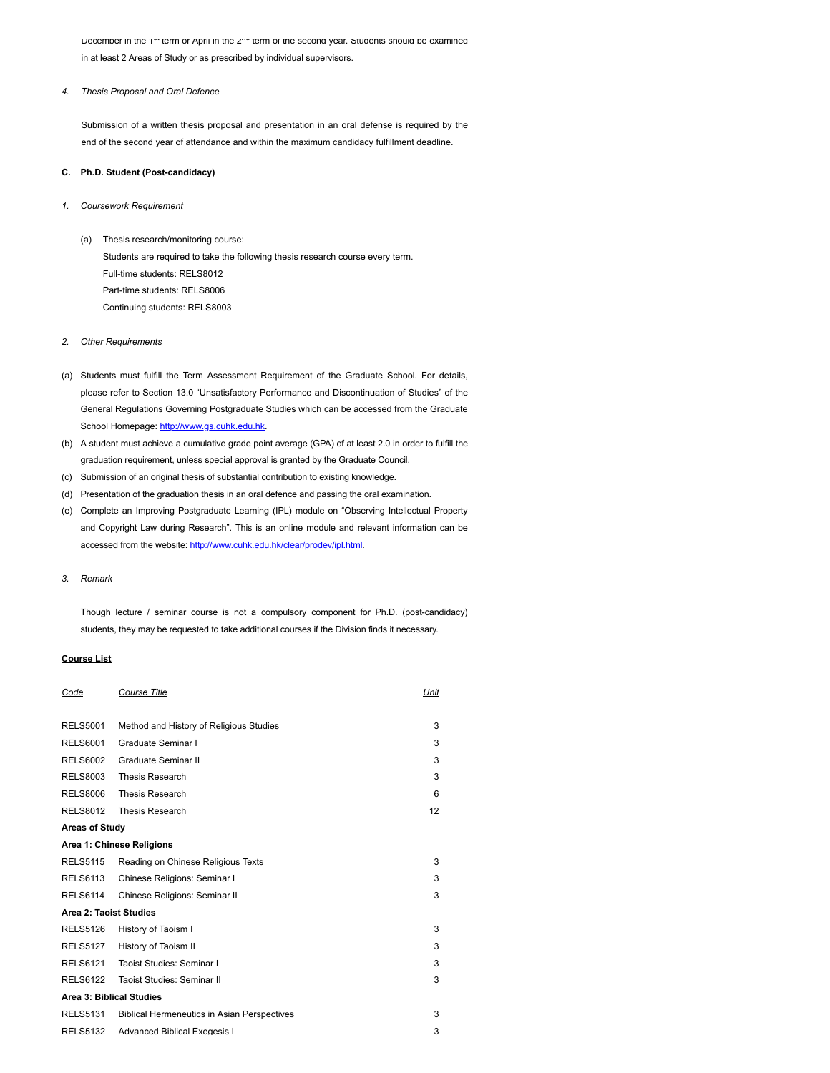December in the 1<sup>-+</sup> term or April in the 2<sup>-+</sup> term of the second year. Students should be examined in at least 2 Areas of Study or as prescribed by individual supervisors.

## *4. Thesis Proposal and Oral Defence*

Submission of a written thesis proposal and presentation in an oral defense is required by the end of the second year of attendance and within the maximum candidacy fulfillment deadline.

## **C. Ph.D. Student (Post-candidacy)**

- *1. Coursework Requirement*
	- (a) Thesis research/monitoring course: Students are required to take the following thesis research course every term. Full-time students: RELS8012 Part-time students: RELS8006 Continuing students: RELS8003

## *2. Other Requirements*

- (a) Students must fulfill the Term Assessment Requirement of the Graduate School. For details, please refer to Section 13.0 "Unsatisfactory Performance and Discontinuation of Studies" of the General Regulations Governing Postgraduate Studies which can be accessed from the Graduate School Homepage: [http://www.gs.cuhk.edu.hk](http://www.gs.cuhk.edu.hk/).
- (b) A student must achieve a cumulative grade point average (GPA) of at least 2.0 in order to fulfill the graduation requirement, unless special approval is granted by the Graduate Council.
- (c) Submission of an original thesis of substantial contribution to existing knowledge.
- (d) Presentation of the graduation thesis in an oral defence and passing the oral examination.
- (e) Complete an Improving Postgraduate Learning (IPL) module on "Observing Intellectual Property and Copyright Law during Research". This is an online module and relevant information can be accessed from the website: <http://www.cuhk.edu.hk/clear/prodev/ipl.html>.

## *3. Remark*

Though lecture / seminar course is not a compulsory component for Ph.D. (post-candidacy) students, they may be requested to take additional courses if the Division finds it necessary.

#### **Course List**

| Code                            | Course Title                                       | Unit |  |  |
|---------------------------------|----------------------------------------------------|------|--|--|
| <b>RELS5001</b>                 |                                                    | 3    |  |  |
|                                 | Method and History of Religious Studies            |      |  |  |
| <b>RELS6001</b>                 | Graduate Seminar I                                 | 3    |  |  |
| <b>RELS6002</b>                 | Graduate Seminar II                                | 3    |  |  |
| <b>RELS8003</b>                 | <b>Thesis Research</b>                             | 3    |  |  |
| <b>RELS8006</b>                 | Thesis Research                                    | 6    |  |  |
| <b>RELS8012</b>                 | Thesis Research                                    | 12   |  |  |
| <b>Areas of Study</b>           |                                                    |      |  |  |
|                                 | Area 1: Chinese Religions                          |      |  |  |
| <b>RELS5115</b>                 | Reading on Chinese Religious Texts                 | 3    |  |  |
| <b>RELS6113</b>                 | Chinese Religions: Seminar I                       | 3    |  |  |
| <b>RELS6114</b>                 | Chinese Religions: Seminar II                      | 3    |  |  |
| Area 2: Taoist Studies          |                                                    |      |  |  |
| <b>RELS5126</b>                 | History of Taoism I                                | 3    |  |  |
| <b>RELS5127</b>                 | History of Taoism II                               | 3    |  |  |
| <b>RELS6121</b>                 | Taoist Studies: Seminar I                          | 3    |  |  |
| <b>RELS6122</b>                 | Taoist Studies: Seminar II                         | 3    |  |  |
| <b>Area 3: Biblical Studies</b> |                                                    |      |  |  |
| <b>RELS5131</b>                 | <b>Biblical Hermeneutics in Asian Perspectives</b> | 3    |  |  |
| <b>RELS5132</b>                 | <b>Advanced Biblical Exegesis I</b>                | 3    |  |  |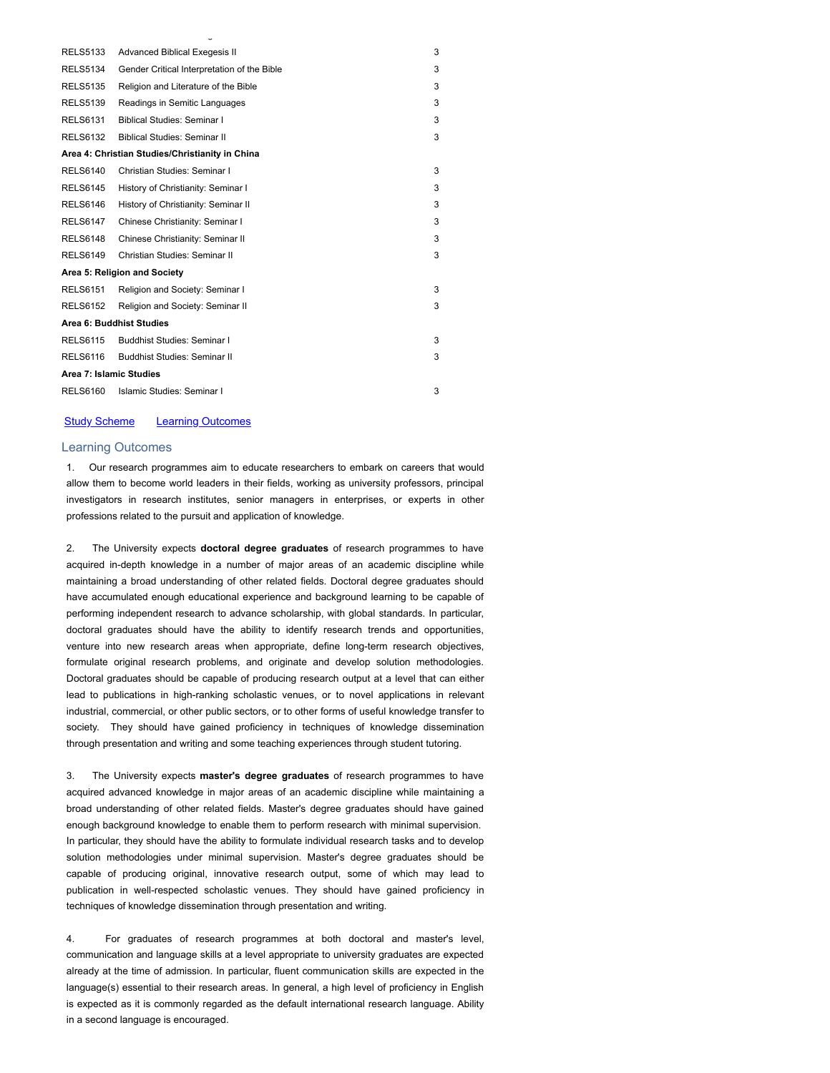| <b>RELS5133</b>          | <b>Advanced Biblical Exegesis II</b>            | 3 |  |
|--------------------------|-------------------------------------------------|---|--|
| <b>RELS5134</b>          | Gender Critical Interpretation of the Bible     | 3 |  |
| <b>RELS5135</b>          | Religion and Literature of the Bible            | 3 |  |
| <b>RELS5139</b>          | Readings in Semitic Languages                   | 3 |  |
| <b>RELS6131</b>          | <b>Biblical Studies: Seminar I</b>              | 3 |  |
| <b>RELS6132</b>          | <b>Biblical Studies: Seminar II</b>             | 3 |  |
|                          | Area 4: Christian Studies/Christianity in China |   |  |
| <b>RELS6140</b>          | Christian Studies: Seminar I                    | 3 |  |
| <b>RELS6145</b>          | History of Christianity: Seminar I              | 3 |  |
| <b>RELS6146</b>          | History of Christianity: Seminar II             | 3 |  |
| <b>RELS6147</b>          | Chinese Christianity: Seminar I                 | 3 |  |
| <b>RELS6148</b>          | Chinese Christianity: Seminar II                | 3 |  |
| <b>RELS6149</b>          | Christian Studies: Seminar II                   | 3 |  |
|                          | Area 5: Religion and Society                    |   |  |
| <b>RELS6151</b>          | Religion and Society: Seminar I                 | 3 |  |
| <b>RELS6152</b>          | Religion and Society: Seminar II                | 3 |  |
| Area 6: Buddhist Studies |                                                 |   |  |
| <b>RELS6115</b>          | Buddhist Studies: Seminar I                     | 3 |  |
| <b>RELS6116</b>          | <b>Buddhist Studies: Seminar II</b>             | 3 |  |
| Area 7: Islamic Studies  |                                                 |   |  |
| <b>RELS6160</b>          | Islamic Studies: Seminar I                      | 3 |  |

g

# **Study Scheme** Learning Outcomes

# Learning Outcomes

1. Our research programmes aim to educate researchers to embark on careers that would allow them to become world leaders in their fields, working as university professors, principal investigators in research institutes, senior managers in enterprises, or experts in other professions related to the pursuit and application of knowledge.

2. The University expects **doctoral degree graduates** of research programmes to have acquired in-depth knowledge in a number of major areas of an academic discipline while maintaining a broad understanding of other related fields. Doctoral degree graduates should have accumulated enough educational experience and background learning to be capable of performing independent research to advance scholarship, with global standards. In particular, doctoral graduates should have the ability to identify research trends and opportunities, venture into new research areas when appropriate, define long-term research objectives, formulate original research problems, and originate and develop solution methodologies. Doctoral graduates should be capable of producing research output at a level that can either lead to publications in high-ranking scholastic venues, or to novel applications in relevant industrial, commercial, or other public sectors, or to other forms of useful knowledge transfer to society. They should have gained proficiency in techniques of knowledge dissemination through presentation and writing and some teaching experiences through student tutoring.

3. The University expects **master's degree graduates** of research programmes to have acquired advanced knowledge in major areas of an academic discipline while maintaining a broad understanding of other related fields. Master's degree graduates should have gained enough background knowledge to enable them to perform research with minimal supervision. In particular, they should have the ability to formulate individual research tasks and to develop solution methodologies under minimal supervision. Master's degree graduates should be capable of producing original, innovative research output, some of which may lead to publication in well-respected scholastic venues. They should have gained proficiency in techniques of knowledge dissemination through presentation and writing.

4. For graduates of research programmes at both doctoral and master's level, communication and language skills at a level appropriate to university graduates are expected already at the time of admission. In particular, fluent communication skills are expected in the language(s) essential to their research areas. In general, a high level of proficiency in English is expected as it is commonly regarded as the default international research language. Ability in a second language is encouraged.